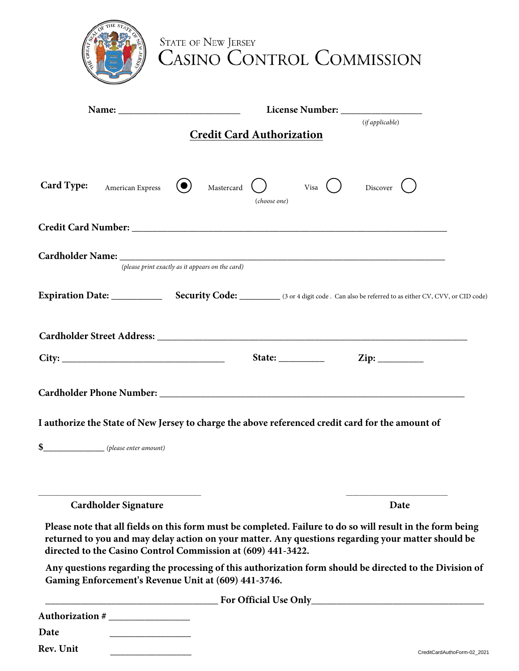|                                                              | <b>STATE OF NEW JERSEY</b><br><b>CASINO CONTROL COMMISSION</b>                                                                                                                                                                                                                                                                                                                                                           |                          |
|--------------------------------------------------------------|--------------------------------------------------------------------------------------------------------------------------------------------------------------------------------------------------------------------------------------------------------------------------------------------------------------------------------------------------------------------------------------------------------------------------|--------------------------|
|                                                              | License Number: New York 1988<br><b>Credit Card Authorization</b>                                                                                                                                                                                                                                                                                                                                                        | (ifappliedble)           |
| <b>Card Type:</b><br>American Express                        | Mastercard<br>Visa $\left( \quad \right)$<br>(choose one)                                                                                                                                                                                                                                                                                                                                                                | Discover $\left(\right.$ |
|                                                              |                                                                                                                                                                                                                                                                                                                                                                                                                          |                          |
|                                                              | (please print exactly as it appears on the card)                                                                                                                                                                                                                                                                                                                                                                         |                          |
|                                                              |                                                                                                                                                                                                                                                                                                                                                                                                                          |                          |
|                                                              |                                                                                                                                                                                                                                                                                                                                                                                                                          |                          |
| City:                                                        | State: $\frac{1}{\sqrt{1-\frac{1}{2}}}\frac{1}{\sqrt{1-\frac{1}{2}}}\frac{1}{\sqrt{1-\frac{1}{2}}}\frac{1}{\sqrt{1-\frac{1}{2}}}\frac{1}{\sqrt{1-\frac{1}{2}}}\frac{1}{\sqrt{1-\frac{1}{2}}}\frac{1}{\sqrt{1-\frac{1}{2}}}\frac{1}{\sqrt{1-\frac{1}{2}}}\frac{1}{\sqrt{1-\frac{1}{2}}}\frac{1}{\sqrt{1-\frac{1}{2}}}\frac{1}{\sqrt{1-\frac{1}{2}}}\frac{1}{\sqrt{1-\frac{1}{2}}}\frac{1}{\sqrt{1-\frac{1}{2}}}\frac{1}{$ |                          |
|                                                              |                                                                                                                                                                                                                                                                                                                                                                                                                          |                          |
|                                                              | I authorize the State of New Jersey to charge the above referenced credit card for the amount of                                                                                                                                                                                                                                                                                                                         |                          |
| $\S$ (please enter amount)                                   |                                                                                                                                                                                                                                                                                                                                                                                                                          |                          |
| <b>Cardholder Signature</b>                                  |                                                                                                                                                                                                                                                                                                                                                                                                                          | Date                     |
| directed to the Casino Control Commission at (609) 441-3422. | Please note that all fields on this form must be completed. Failure to do so will result in the form being<br>returned to you and may delay action on your matter. Any questions regarding your matter should be                                                                                                                                                                                                         |                          |
| Gaming Enforcement's Revenue Unit at (609) 441-3746.         | Any questions regarding the processing of this authorization form should be directed to the Division of                                                                                                                                                                                                                                                                                                                  |                          |
|                                                              | <b>Example 2018</b> The Contract of Contract of Contract 2018 of Contract 2018 The Contract 2018 of Contract 2018 of Contract 2018 of Contract 2018 of Contract 2018 of Contract 2018 of Contract 2018 of Contract 2018 of Contract                                                                                                                                                                                      |                          |
| Authorization #<br>Date                                      |                                                                                                                                                                                                                                                                                                                                                                                                                          |                          |